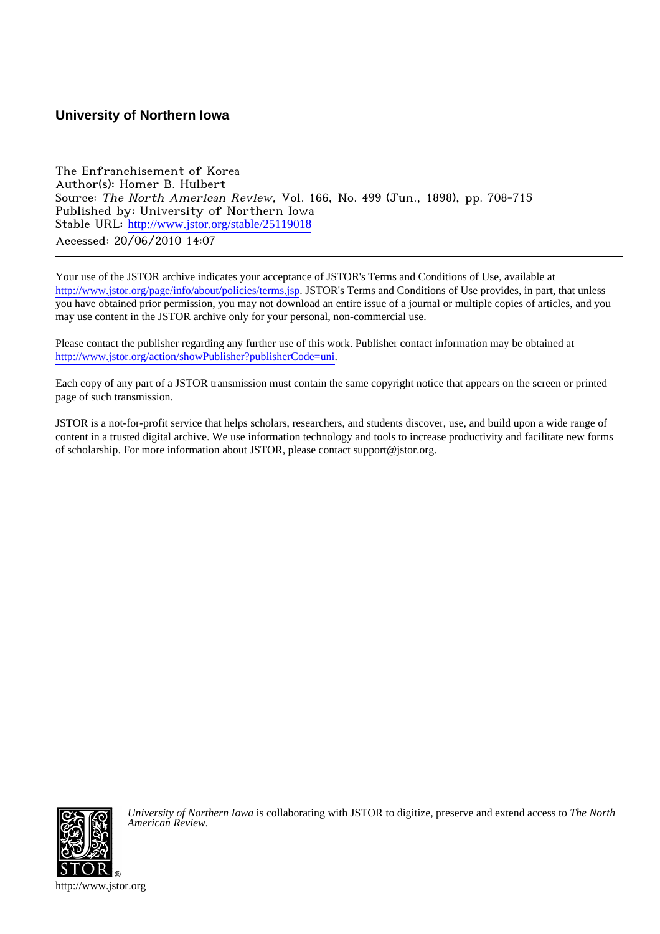## **University of Northern Iowa**

The Enfranchisement of Korea Author(s): Homer B. Hulbert Source: The North American Review, Vol. 166, No. 499 (Jun., 1898), pp. 708-715 Published by: University of Northern Iowa Stable URL: [http://www.jstor.org/stable/25119018](http://www.jstor.org/stable/25119018?origin=JSTOR-pdf) Accessed: 20/06/2010 14:07

Your use of the JSTOR archive indicates your acceptance of JSTOR's Terms and Conditions of Use, available at <http://www.jstor.org/page/info/about/policies/terms.jsp>. JSTOR's Terms and Conditions of Use provides, in part, that unless you have obtained prior permission, you may not download an entire issue of a journal or multiple copies of articles, and you may use content in the JSTOR archive only for your personal, non-commercial use.

Please contact the publisher regarding any further use of this work. Publisher contact information may be obtained at [http://www.jstor.org/action/showPublisher?publisherCode=uni.](http://www.jstor.org/action/showPublisher?publisherCode=uni)

Each copy of any part of a JSTOR transmission must contain the same copyright notice that appears on the screen or printed page of such transmission.

JSTOR is a not-for-profit service that helps scholars, researchers, and students discover, use, and build upon a wide range of content in a trusted digital archive. We use information technology and tools to increase productivity and facilitate new forms of scholarship. For more information about JSTOR, please contact support@jstor.org.



*University of Northern Iowa* is collaborating with JSTOR to digitize, preserve and extend access to *The North American Review.*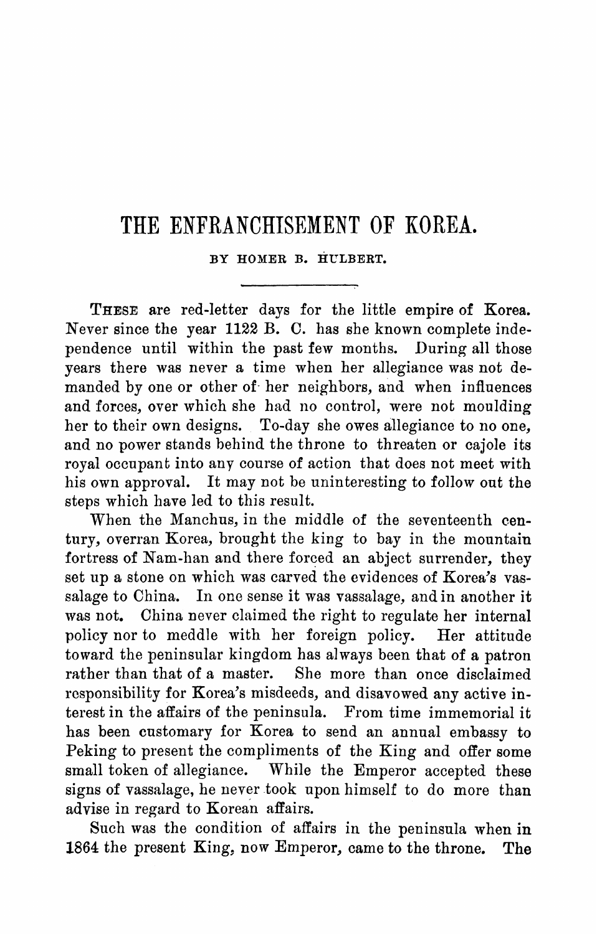## **THE ENFRANCHISEMENT OF KOREA.**

**BY HOMER B. HULBERT.** 

**These are red-letter days for the little empire of Korea. Never since the year 1122 B. C. has she known complete inde pendence until within the past few months. During all those years there was never a time when her allegiance was not de manded by one or other of her neighbors, and when influences and forces, over which she had no control, were not moulding her to their own designs. To-day she owes allegiance to no one, and no power stands behind the throne to threaten or cajole its royal occupant into any course of action that does not meet with his own approval. It may not be uninteresting to follow out the steps which have led to this result.** 

When the Manchus, in the middle of the seventeenth cen**tury, overran Korea, brought the king to bay in the mountain fortress of Nam-han and there forced an abject surrender, they set up a stone on which was carved the evidences of Korea's vas salage to China. In one sense it was vassalage, and in another it was not. China never claimed the right to regulate her internal**  policy nor to meddle with her foreign policy. **toward the peninsular kingdom has always been that of a patron rather than that of a master. She more than once disclaimed responsibility for Korea's misdeeds, and disavowed any active in terest in the affairs of the peninsula. From time immemorial it has been customary for Korea to send an annual embassy to Peking to present the compliments of the King and offer some small token of allegiance. While the Emperor accepted these signs of vassalage, he never took upon himself to do more than advise in regard to Korean affairs.** 

Such was the condition of affairs in the peninsula when in  $4$  the present King, now Emperor, came to the throne. The 1864 the present King, now Emperor, came to the throne.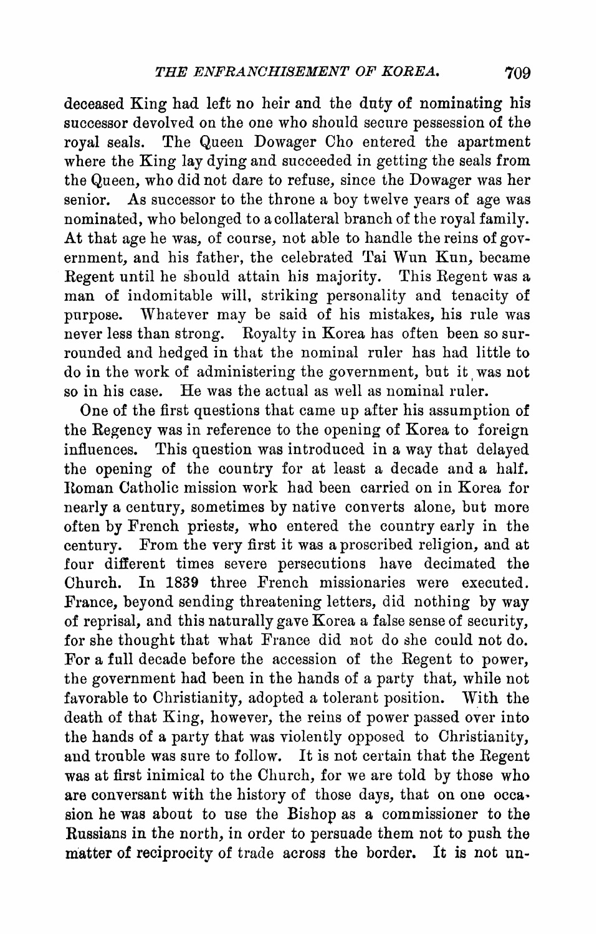**deceased King had left no heir and the duty of nominating his successor devolved on the one who should secure pessession of the royal seals.** The Queen Dowager Cho entered the apartment **where the King lay dying and succeeded in getting the seals from the Queen, who did not dare to refuse, since the Dowager was her senior. As successor to the throne a boy twelve years of age was nominated, who belonged to a collateral branch of the royal family.**  At that age he was, of course, not able to handle the reins of gov**ernment, and his father, the celebrated Tai Wun Kun, became Eegent until he should attain his majority. This Eegent was a**  man of indomitable will, striking personality and tenacity of **purpose. Whatever may be said of his mistakes, his rule was never less than strong. Eoyalty in Korea has often been so sur rounded and hedged in that the nominal ruler has had little to**  do in the work of administering the government, but it was not **so in his case. He was the actual as well as nominal ruler.** 

**One of the first questions that came up after his assumption of the Eegency was in reference to the opening of Korea to foreign**  This question was introduced in a way that delayed **the opening of the country for at least a decade and a half. Eoman Catholic mission work had been carried on in Korea for nearly a century, sometimes by native converts alone, but more often by French priests, who entered the country early in the century. From the very first it was a proscribed religion, and at four different times severe persecutions have decimated the Church. In 1839 three French missionaries were executed. France, beyond sending threatening letters, did nothing by way of reprisal, and this naturally gave Korea a false sense of security, for she thought that what France did not do she could not do. For a full decade before the accession of the Eegent to power, the government had been in the hands of a party that, while not favorable to Christianity, adopted a tolerant position. With the death of that King, however, the reins of power passed over into the hands of a party that was violently opposed to Christianity, and trouble was sure to follow. It is not certain that the Eegent was at first inimical to the Church, for we are told by those who are conversant with the history of those days, that on one occa sion he was about to use the Bishop as a commissioner to the Eussians in the north, in order to persuade them not to push the**  matter of reciprocity of trade across the border. It is not un-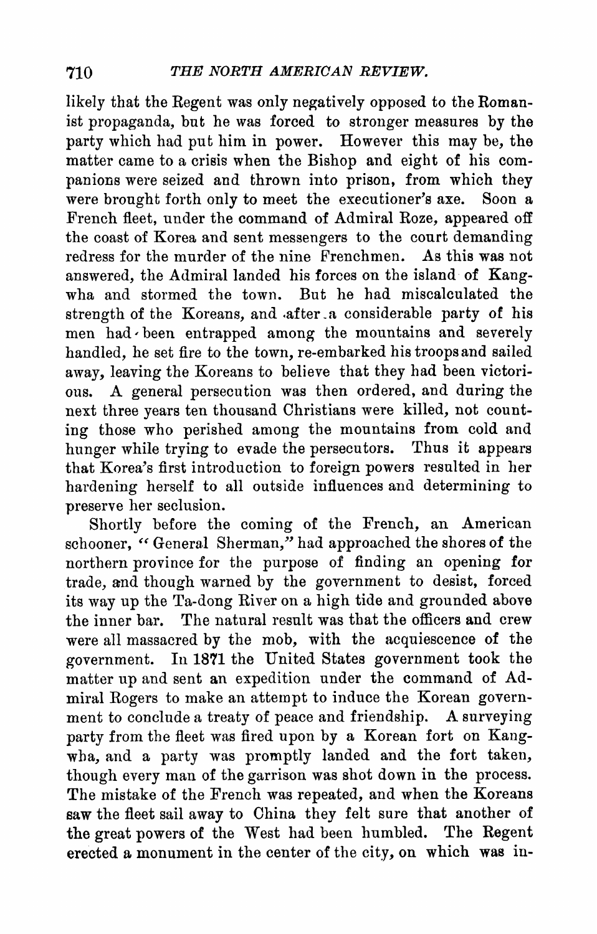**likely that the Regent was only negatively opposed to the Roman ist propaganda, but he was forced to stronger measures by the party which had put him in power. However this may be, the**  matter came to a crisis when the Bishop and eight of his com**panions were seized and thrown into prison, from which they were brought forth only to meet the executioner's axe. Soon a French fleet, under the command of Admiral Roze, appeared off the coast of Korea and sent messengers to the court demanding redress for the murder of the nine Frenchmen. As this was not**  answered, the Admiral landed his forces on the island of Kang**wha and stormed the town. But he had miscalculated the**  strength of the Koreans, and after a considerable party of his men had been entrapped among the mountains and severel **handled, he set fire to the town, re-embarked his troops and sailed**  away, leaving the Koreans to believe that they had been victori-<br>ous. A general persecution was then ordered, and during the **ous. A general persecution was then ordered, and during the**  next three years ten thousand Christians were killed, not count-<br>ing those who perished among the mountains from cold and hunger while trying to evade the persecutors. Thus it appears **hunger while trying to evade the persecutors. Thus it appears that Korea's first introduction to foreign powers resulted in her hardening herself to all outside influences and determining to preserve her seclusion.** 

**Shortly before the coming of the French, an American** schooner, "General Sherman," had approached the shores of the **northern province for the purpose of finding an opening for trade, and though warned by the government to desist, forced its way up the Ta-dong River on a high tide and grounded above the inner bar. The natural result was that the officers and crew were all massacred by the mob, with the acquiescence of the government. In 1871 the United States government took the**  matter up and sent an expedition under the command of Admiral Rogers to make an attempt to induce the Korean govern**ment to conclude a treaty of peace and friendship. A surveying**  wha, and a party was promptly landed and the fort taken, though every man of the garrison was shot down in the process. **though every man of the garrison was shot down in the process. The mistake of the French was repeated, and when the Korea saw the fleet sail away to China they felt sure that another of the great powers of the West had been humbled. The Regent Property is a set of the contract of the contract of the contract of the contract of the contract of the contract of the contract of the contract of the contract o erected a monument in the center of the city, on which was in**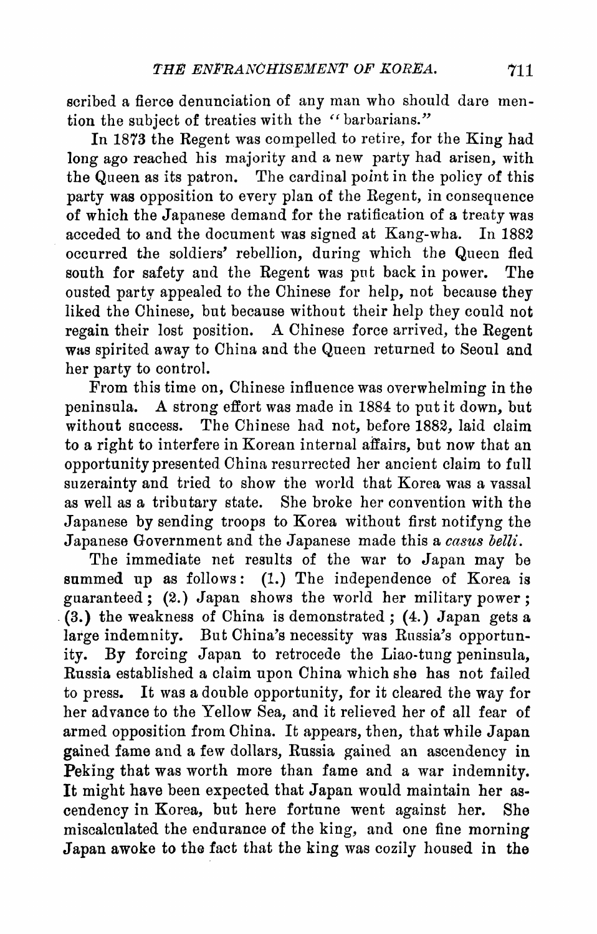**scribed a fierce denunciation of any man who should dare men tion the subject of treaties with the "barbarians."** 

In 1873 the Regent was compelled to retire, for the King had long ago reached his majority and a new party had arisen, with **long ago reached his majority and a new party had arisen, with the Queen as its patron. The cardinal point in the policy of this party was opposition to every plan of the Eegent, in consequence of which the Japanese demand for the ratification of a treaty was**  acceded to and the document was signed at Kang-wha. **occurred the soldiers' rebellion, during which the Queen fled**  south for safety and the Regent was put back in power. **ousted party appealed to the Chinese for help, not because they liked the Chinese, but because without their help they could not**  regain their lost position. A Chinese force arrived, the Regent **was spirited away to China and the Queen returned to Seoul and her party to control.** 

**From this time on, Chinese influence was overwhelming in the peninsula. A strong effort was made in 1884 to put it down, but without success. The Chinese had not, before 1882, laid claim to a right to interfere in Korean internal affairs, but now that an opportunity presented China resurrected her ancient claim to full suzerainty and tried to show the world that Korea was a vassal as well as a tributary state. She broke her convention with the Japanese Government and the Japanese made this a casus belli. Japanese Government and the Japanese made this a casus belli** 

**The immediate net results of the war to Japan may be**  summed up as follows: (1.) The independence of Korea is **guaranteed ; (2.) Japan shows the world her military power ; (3.) the weakness of China is demonstrated ; (4.) Japan gets a large indemnity.** But China's necessity was Eussia's opportunity. **ity. By forcing Japan to retrocede the Liao-tung peninsula, Eussia established a claim upon China which she has not failed to press. It was a double opportunity, for it cleared the way for her advance to the Yellow Sea, and it relieved her of all fear of armed opposition from China. It appears, then, that while Japan gained fame and a few dollars, Eussia gained an ascendency in Peking that was worth more than fame and a war indemnity.**  It might have been expected that Japan would maintain her as**cendency in Korea, but here fortune went against her. She miscalculated the endurance of the king, and one fine morning Japan awoke to the fact that the king was cozily housed in the**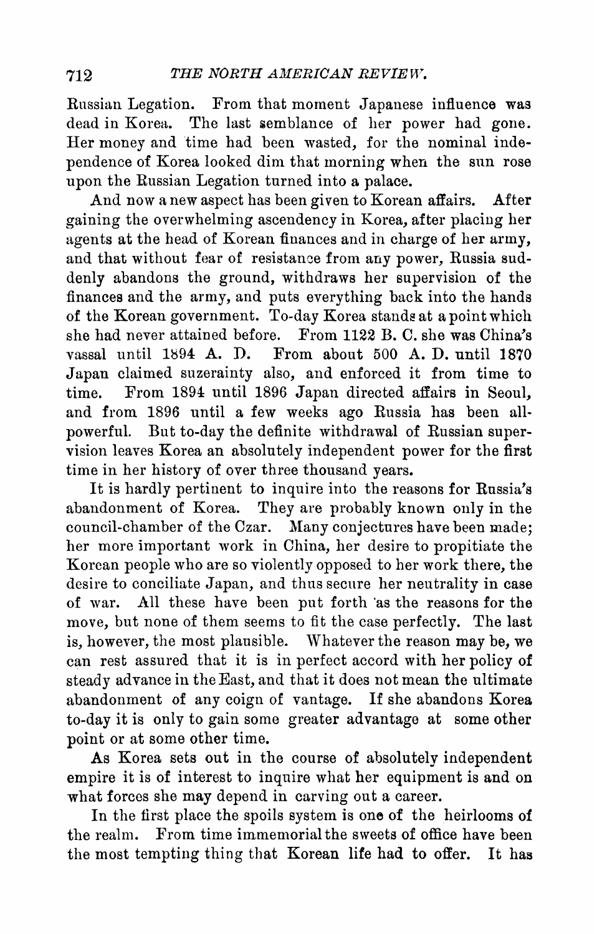**Russian Legation. From that moment Japanese influence was dead in Korea. The last semblance of her power had gone. Her money and time had been wasted, for the nominal inde pendence of Korea looked dim that morning when the sun rose upon the Russian Legation turned into a palace.** 

**And now a new aspect has been given to Korean affairs. After gaining the overwhelming ascendency in Korea, after placing her agents at the head of Korean finances and in charge of her army, and that without fear of resistance from any power, Russia sud denly abandons the ground, withdraws her supervision of the finances and the army, and puts everything back into the hands of the Korean government. To-day Korea stands at a point which she had never attained before. From 1122 B. C. she was China's vassal until 1894 A. D. From about 500 A. D. until 1870 Japan claimed suzerainty also, and enforced it from time to**  From 1894 until 1896 Japan directed affairs in Seoul, and from 1896 until a few weeks ago Russia has been allpowerful. But to-day the definite withdrawal of Russian super**vision leaves Korea an absolutely independent power for the first time in her history of over three thousand years.** 

**It is hardly pertinent to inquire into the reasons for Russia's abandonment of Korea. They are probably known only in the council-chamber of the Czar. Many conjectures have been made; her more important work in China, her desire to propitiate the Korean people who are so violently opposed to her work there, the desire to conciliate Japan, and thus secure her neutrality in case**  All these have been put forth 'as the reasons for the **move, but none of them seems to fit the case perfectly. The last is, however, the most plausible. Whatever the reason may be, we can rest assured that it is in perfect accord with her policy of steady advance in the East, and that it does not mean the ultimate abandonment of any coign of vantage. If she abandons Korea to-day it is only to gain some greater advantage at some other point or at some other time.** 

**As Korea sets out in the course of absolutely independent empire it is of interest to inquire what her equipment is and on what forces she may depend in carving out a career.** 

**In the first place the spoils system is one of the heirlooms of the realm. From time immemorial the sweets of office have been the most tempting thing that Korean life had to offer. It has**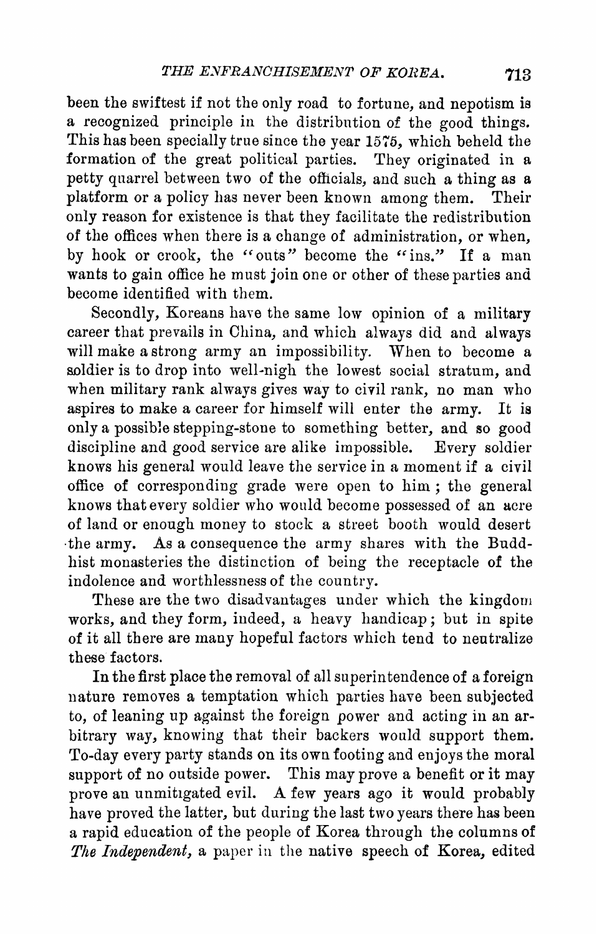**been the swiftest if not the only road to fortune, and nepotism is a recognized principle in the distribution of the good things. This has been specially true since the year 1575, which beheld the formation of the great political parties. They originated in a petty quarrel between two of the officials, and such a thing as a platform or a policy has never been known among them. Their only reason for existence is that they facilitate the redistribution of the offices when there is a change of administration, or when, by hook or crook, the "outs" become the "ins," If a man wants to gain office he must join one or other of these parties and become identified with them.** 

**Secondly, Koreans have the same low opinion of a military career that prevails in China, and which always did and always will make a strong army an impossibility. When to become a soldier is to drop into well-nigh the lowest social stratum, and when military rank always gives way to civil rank, no man who aspires to make a career for himself will enter the army. It is only a possible stepping-stone to something better, and so good**  discipline and good service are alike impossible. Every soldier **knows his general would leave the service in a moment if a civil office of corresponding grade were open to him ; the general knows that every soldier who would become possessed of an acre of land or enough money to stock a street booth would desert the army.** As a consequence the army shares with the Budden army shares with the Budden army shares with the Budden **hist monasteries the distinction of being the receptacle of the indolence and worthlessness of the country.** 

**These are the two disadvantages under which the kingdom works, and they form, indeed, a heavy handicap ; but in spite of it all there are many hopeful factors which tend to neutralize these factors.** 

**In the first place the removal of all superintendence of a foreign nature removes a temptation which parties have been subjected to, of leaning up against the foreign power and acting in an ar bitrary way, knowing that their backers would support them. To-day every party stands on its own footing and enjoys the moral support of no outside power. This may prove a benefit or it may prove an unmitigated evil. A few years ago it would probably have proved the latter, but during the last two years there has been a rapid education of the people of Korea through the columns of The Independent, a, paper in the native speech of Korea, edited**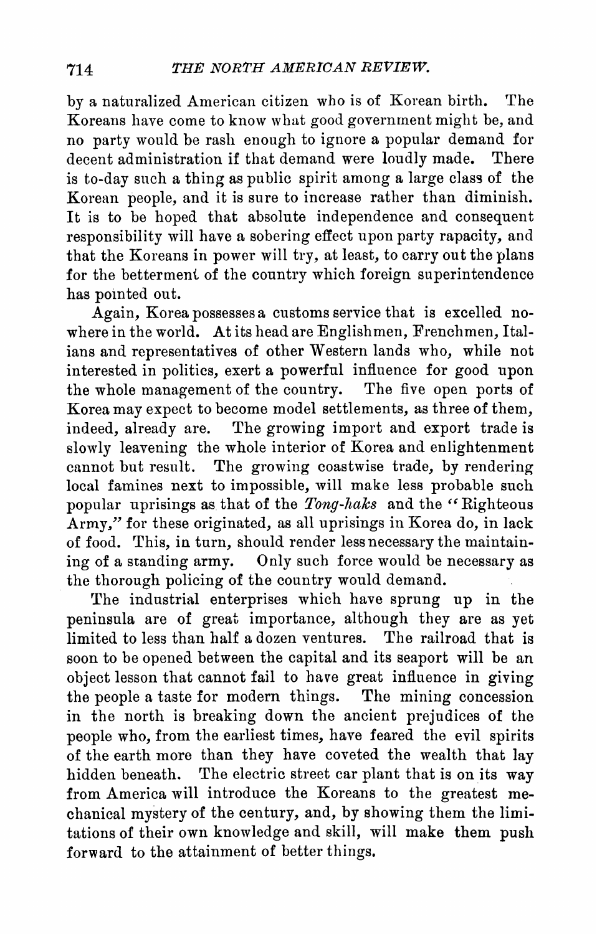**by a naturalized American citizen who is of Korean birth. The Koreans have come to know what good government might be, and no party would be rash enough to ignore a popular demand for decent administration if that demand were loudly made. There is to-day such a thing as public spirit among a large class of the Korean people, and it is sure to increase rather than diminish. It is to be hoped that absolute independence and consequently in the set of the set of the set of the set of the set of the set of the set of the set of the set of the set of the set of the set of the set of the set of th responsibility will have a sobering effect upon party rapacity, and that the Koreans in power will try, at least, to carry out the plans for the betterment of the country which foreign superintendence** 

Again, Korea possesses a customs service that is excelled no-**Again, Korea possesses a customs service that is excelled no where in the world. At its head are Englishmen, Frenchmen, Ital ians and representatives of other Western lands who, while not interested in politics, exert a powerful influence for good upon the whole management of the country. The five open ports of Korea may expect to become model settlements, as three of them,**  slowly leavening the whole interior of Korea and enlightenment **slowly leavening the whole interior of Korea and enlightenm cannot but result. The growing coastwise trade, by rendering local famines next to impossible, will make less probable such popular uprisings as that of the Tong-haks and the "Righteous Army," for these originated, as all uprisings in Korea do, in lack of food. This, in turn, should render less necessary the maintain ing of a standing army. Only such force would be necessary as the thorough policing of the country would demand.** 

**The industrial enterprises which have sprung up in the peninsula are of great importance, although they are as yet limited to less than half a dozen ventures. The railroad that is soon to be opened between the capital and its seaport will be an object lesson that cannot fail to have great influence in giving the people a taste for modern things. The mining concession in the north is breaking down the ancient prejudices of the people who, from the earliest times, have feared the evil spirits of the earth more than they have coveted the wealth that lay hidden beneath. The electric street car plant that is on its way**  from America will introduce the Koreans to the greatest me-<br>chanical mystery of the century, and, by showing them the limi**chanical mystery of the century, and, by showing them the limi tations of their own knowledge and skill, will make them push forward to the attainment of better things.**